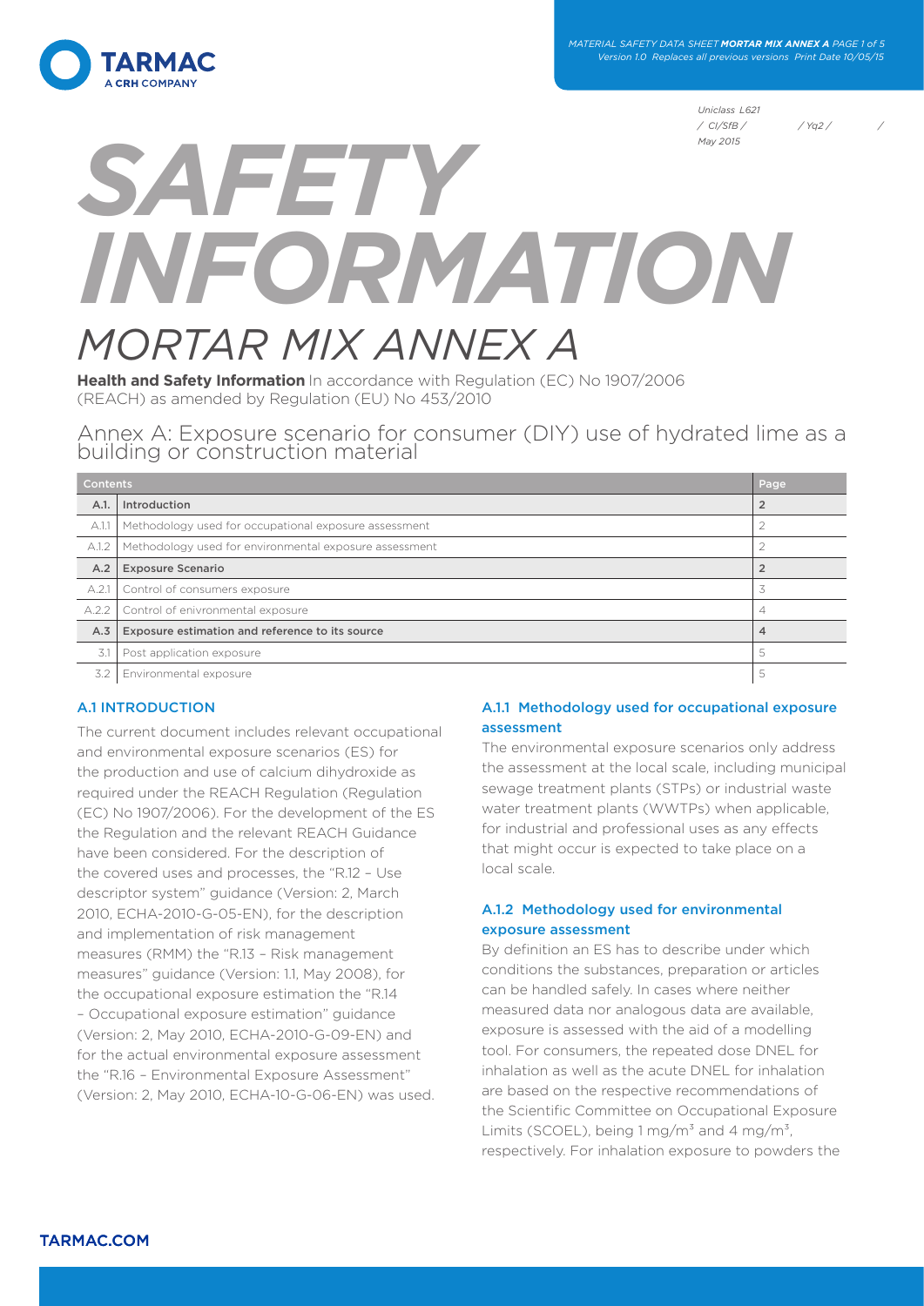

*MATERIAL SAFETY DATA SHEET MORTAR MIX ANNEX A PAGE 1 of 5 Version 1.0 Replaces all previous versions Print Date 10/05/15*

> *Uniclass L621 / CI/SfB / / Yq2 / / May 2015*

# *SAFETY INFORMATION MORTAR MIX ANNEX A*

**Health and Safety Information** In accordance with Regulation (EC) No 1907/2006 (REACH) as amended by Regulation (EU) No 453/2010

Annex A: Exposure scenario for consumer (DIY) use of hydrated lime as a building or construction material

| <b>Contents</b><br>Page |                                                        |                |
|-------------------------|--------------------------------------------------------|----------------|
| A.1.                    | Introduction                                           |                |
| A.1.1                   | Methodology used for occupational exposure assessment  |                |
| A.1.2                   | Methodology used for environmental exposure assessment |                |
| A.2                     | <b>Exposure Scenario</b>                               | $\overline{2}$ |
| A.2.1                   | Control of consumers exposure                          |                |
| A.2.2                   | Control of enivronmental exposure                      | 4              |
| A.3                     | Exposure estimation and reference to its source        | 4              |
| 3.1                     | Post application exposure                              | 5              |
| 3.2                     | Environmental exposure                                 | 5              |

## A.1 INTRODUCTION

The current document includes relevant occupational and environmental exposure scenarios (ES) for the production and use of calcium dihydroxide as required under the REACH Regulation (Regulation (EC) No 1907/2006). For the development of the ES the Regulation and the relevant REACH Guidance have been considered. For the description of the covered uses and processes, the "R.12 – Use descriptor system" guidance (Version: 2, March 2010, ECHA-2010-G-05-EN), for the description and implementation of risk management measures (RMM) the "R.13 – Risk management measures" guidance (Version: 1.1, May 2008), for the occupational exposure estimation the "R.14 – Occupational exposure estimation" guidance (Version: 2, May 2010, ECHA-2010-G-09-EN) and for the actual environmental exposure assessment the "R.16 – Environmental Exposure Assessment" (Version: 2, May 2010, ECHA-10-G-06-EN) was used.

## A.1.1 Methodology used for occupational exposure assessment

The environmental exposure scenarios only address the assessment at the local scale, including municipal sewage treatment plants (STPs) or industrial waste water treatment plants (WWTPs) when applicable. for industrial and professional uses as any effects that might occur is expected to take place on a local scale.

## A.1.2 Methodology used for environmental exposure assessment

By definition an ES has to describe under which conditions the substances, preparation or articles can be handled safely. In cases where neither measured data nor analogous data are available, exposure is assessed with the aid of a modelling tool. For consumers, the repeated dose DNEL for inhalation as well as the acute DNEL for inhalation are based on the respective recommendations of the Scientific Committee on Occupational Exposure Limits (SCOEL), being  $1 \text{ mg/m}^3$  and  $4 \text{ mg/m}^3$ , respectively. For inhalation exposure to powders the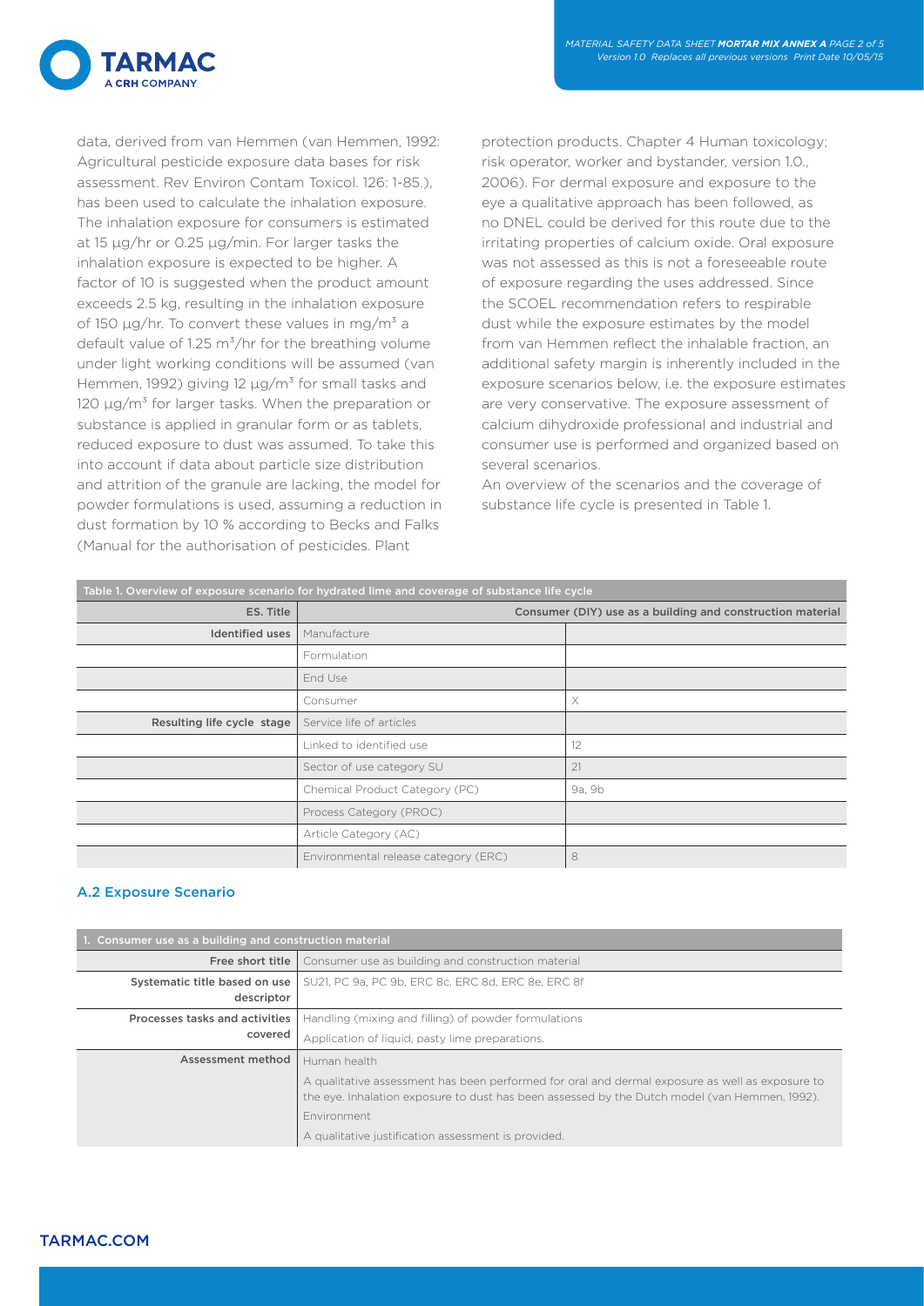

data, derived from van Hemmen (van Hemmen, 1992: Agricultural pesticide exposure data bases for risk assessment. Rev Environ Contam Toxicol. 126: 1-85.), has been used to calculate the inhalation exposure. The inhalation exposure for consumers is estimated at 15 µg/hr or 0.25 µg/min. For larger tasks the inhalation exposure is expected to be higher. A factor of 10 is suggested when the product amount exceeds 2.5 kg, resulting in the inhalation exposure of 150  $\mu$ g/hr. To convert these values in mg/m<sup>3</sup> a default value of 1.25  $\text{m}^3/\text{hr}$  for the breathing volume under light working conditions will be assumed (van Hemmen, 1992) giving 12  $\mu$ g/m<sup>3</sup> for small tasks and 120  $\mu$ g/m<sup>3</sup> for larger tasks. When the preparation or substance is applied in granular form or as tablets, reduced exposure to dust was assumed. To take this into account if data about particle size distribution and attrition of the granule are lacking, the model for powder formulations is used, assuming a reduction in dust formation by 10 % according to Becks and Falks (Manual for the authorisation of pesticides. Plant

protection products. Chapter 4 Human toxicology; risk operator, worker and bystander, version 1.0., 2006). For dermal exposure and exposure to the eye a qualitative approach has been followed, as no DNEL could be derived for this route due to the irritating properties of calcium oxide. Oral exposure was not assessed as this is not a foreseeable route of exposure regarding the uses addressed. Since the SCOEL recommendation refers to respirable dust while the exposure estimates by the model from van Hemmen reflect the inhalable fraction, an additional safety margin is inherently included in the exposure scenarios below, i.e. the exposure estimates are very conservative. The exposure assessment of calcium dihydroxide professional and industrial and consumer use is performed and organized based on several scenarios.

An overview of the scenarios and the coverage of substance life cycle is presented in Table 1.

| Table 1. Overview of exposure scenario for hydrated lime and coverage of substance life cycle |                                                            |          |  |  |
|-----------------------------------------------------------------------------------------------|------------------------------------------------------------|----------|--|--|
| ES. Title                                                                                     | Consumer (DIY) use as a building and construction material |          |  |  |
| <b>Identified uses</b>                                                                        | Manufacture                                                |          |  |  |
|                                                                                               | Formulation                                                |          |  |  |
|                                                                                               | End Use                                                    |          |  |  |
|                                                                                               | Consumer                                                   | $\times$ |  |  |
| Resulting life cycle stage<br>Service life of articles                                        |                                                            |          |  |  |
|                                                                                               | Linked to identified use                                   | 12       |  |  |
|                                                                                               | Sector of use category SU                                  | 21       |  |  |
|                                                                                               | Chemical Product Category (PC)                             | 9a, 9b   |  |  |
|                                                                                               | Process Category (PROC)                                    |          |  |  |
|                                                                                               | Article Category (AC)                                      |          |  |  |
|                                                                                               | Environmental release category (ERC)                       | 8        |  |  |

## A.2 Exposure Scenario

| 1. Consumer use as a building and construction material |                                                                                                                                                                                                                        |  |  |  |
|---------------------------------------------------------|------------------------------------------------------------------------------------------------------------------------------------------------------------------------------------------------------------------------|--|--|--|
| Free short title                                        | Consumer use as building and construction material                                                                                                                                                                     |  |  |  |
| Systematic title based on use<br>descriptor             | SU21, PC 9a, PC 9b, ERC 8c, ERC 8d, ERC 8e, ERC 8f                                                                                                                                                                     |  |  |  |
| Processes tasks and activities                          | Handling (mixing and filling) of powder formulations                                                                                                                                                                   |  |  |  |
| covered                                                 | Application of liquid, pasty lime preparations.                                                                                                                                                                        |  |  |  |
| Assessment method                                       | Human health                                                                                                                                                                                                           |  |  |  |
|                                                         | A qualitative assessment has been performed for oral and dermal exposure as well as exposure to<br>the eye. Inhalation exposure to dust has been assessed by the Dutch model (van Hemmen, 1992).<br><b>Environment</b> |  |  |  |
|                                                         | A qualitative justification assessment is provided.                                                                                                                                                                    |  |  |  |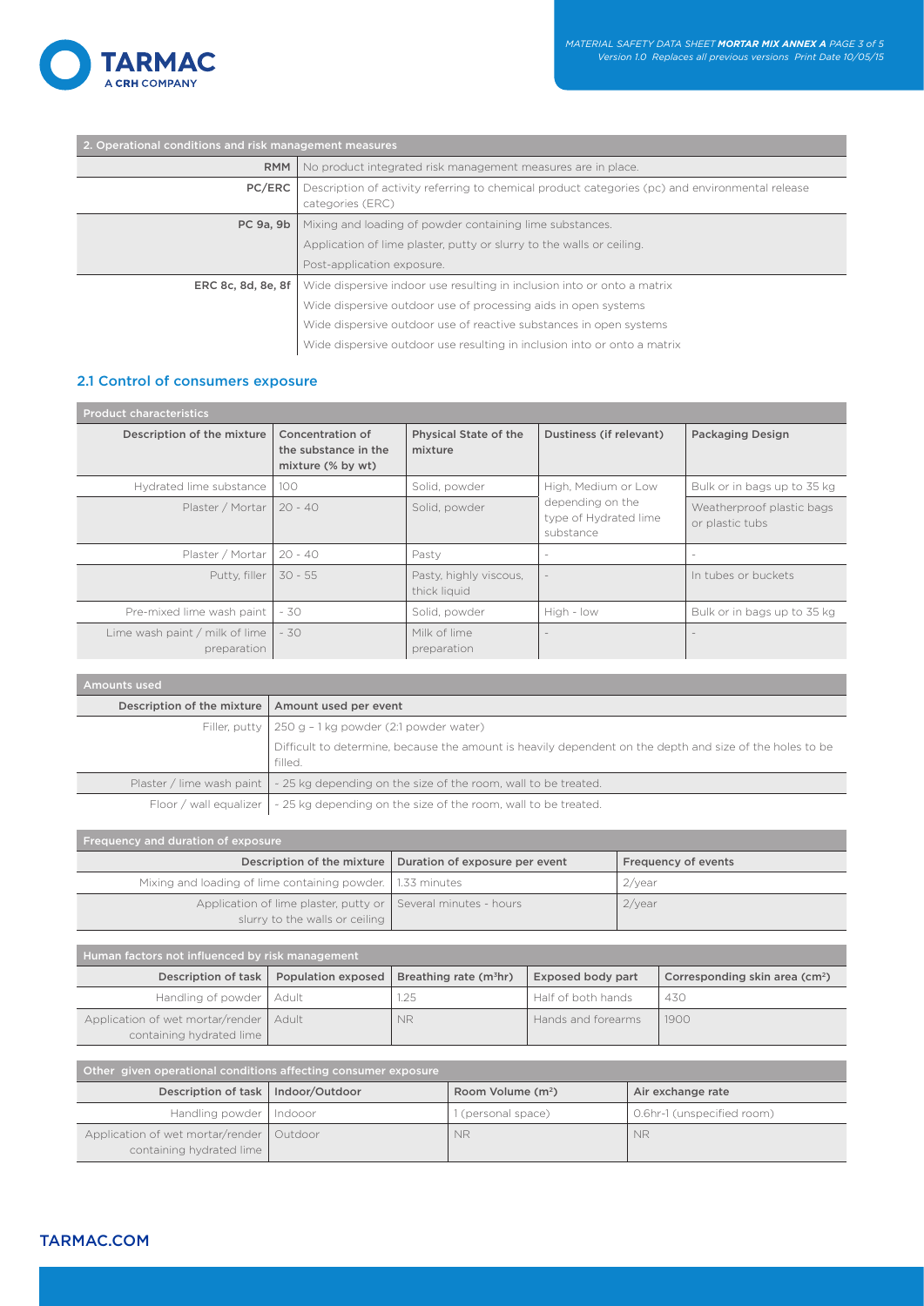

| 2. Operational conditions and risk management measures |                                                                                                                     |  |  |  |
|--------------------------------------------------------|---------------------------------------------------------------------------------------------------------------------|--|--|--|
| <b>RMM</b>                                             | No product integrated risk management measures are in place.                                                        |  |  |  |
| PC/ERC                                                 | Description of activity referring to chemical product categories (pc) and environmental release<br>categories (ERC) |  |  |  |
| PC 9a, 9b                                              | Mixing and loading of powder containing lime substances.                                                            |  |  |  |
|                                                        | Application of lime plaster, putty or slurry to the walls or ceiling.                                               |  |  |  |
|                                                        | Post-application exposure.                                                                                          |  |  |  |
| ERC 8c, 8d, 8e, 8f                                     | Wide dispersive indoor use resulting in inclusion into or onto a matrix                                             |  |  |  |
|                                                        | Wide dispersive outdoor use of processing aids in open systems                                                      |  |  |  |
|                                                        | Wide dispersive outdoor use of reactive substances in open systems                                                  |  |  |  |
|                                                        | Wide dispersive outdoor use resulting in inclusion into or onto a matrix                                            |  |  |  |

## 2.1 Control of consumers exposure

| <b>Product characteristics</b>                |                                                               |                                         |                                                        |                                              |
|-----------------------------------------------|---------------------------------------------------------------|-----------------------------------------|--------------------------------------------------------|----------------------------------------------|
| Description of the mixture                    | Concentration of<br>the substance in the<br>mixture (% by wt) | <b>Physical State of the</b><br>mixture | Dustiness (if relevant)                                | <b>Packaging Design</b>                      |
| Hydrated lime substance                       | 100                                                           | Solid, powder                           | High, Medium or Low                                    | Bulk or in bags up to 35 kg                  |
| Plaster / Mortar                              | $20 - 40$                                                     | Solid, powder                           | depending on the<br>type of Hydrated lime<br>substance | Weatherproof plastic bags<br>or plastic tubs |
| Plaster / Mortar                              | $20 - 40$                                                     | Pasty                                   | $\sim$                                                 |                                              |
| Putty, filler                                 | $30 - 55$                                                     | Pasty, highly viscous,<br>thick liquid  | $\overline{\phantom{a}}$                               | In tubes or buckets                          |
| Pre-mixed lime wash paint                     | - 30                                                          | Solid, powder                           | High - low                                             | Bulk or in bags up to 35 kg                  |
| Lime wash paint / milk of lime<br>preparation | $-30$                                                         | Milk of lime<br>preparation             | $\overline{\phantom{a}}$                               |                                              |

| <b>Amounts used</b>        |                                                                                                                     |  |  |  |
|----------------------------|---------------------------------------------------------------------------------------------------------------------|--|--|--|
| Description of the mixture | Amount used per event                                                                                               |  |  |  |
|                            | Filler, putty   250 g - 1 kg powder (2:1 powder water)                                                              |  |  |  |
|                            | Difficult to determine, because the amount is heavily dependent on the depth and size of the holes to be<br>filled. |  |  |  |
|                            | Plaster / lime wash paint $\vert \cdot \vert$ - 25 kg depending on the size of the room, wall to be treated.        |  |  |  |
|                            | Floor / wall equalizer $\vert \cdot 25$ kg depending on the size of the room, wall to be treated.                   |  |  |  |

| Frequency and duration of exposure                                      |                    |                                |                                    |                          |                            |                                            |
|-------------------------------------------------------------------------|--------------------|--------------------------------|------------------------------------|--------------------------|----------------------------|--------------------------------------------|
| Description of the mixture                                              |                    | Duration of exposure per event |                                    | Frequency of events      |                            |                                            |
| Mixing and loading of lime containing powder.                           | 1.33 minutes       |                                | $2$ /year                          |                          |                            |                                            |
| Application of lime plaster, putty or<br>slurry to the walls or ceiling |                    | Several minutes - hours        |                                    | 2/year                   |                            |                                            |
|                                                                         |                    |                                |                                    |                          |                            |                                            |
| Human factors not influenced by risk management                         |                    |                                |                                    |                          |                            |                                            |
| Description of task                                                     | Population exposed |                                | Breathing rate (m <sup>3</sup> hr) | <b>Exposed body part</b> |                            | Corresponding skin area (cm <sup>2</sup> ) |
| Handling of powder                                                      | Adult              | 1.25                           |                                    | Half of both hands       |                            | 430                                        |
| Application of wet mortar/render<br>containing hydrated lime            | Adult              | <b>NR</b>                      |                                    | Hands and forearms       |                            | 1900                                       |
|                                                                         |                    |                                |                                    |                          |                            |                                            |
| Other given operational conditions affecting consumer exposure          |                    |                                |                                    |                          |                            |                                            |
| Description of task                                                     | Indoor/Outdoor     |                                | Room Volume (m <sup>2</sup> )      |                          |                            | Air exchange rate                          |
| Handling powder                                                         | Indooor            |                                | 1 (personal space)                 |                          | 0.6hr-1 (unspecified room) |                                            |
| Application of wet mortar/render                                        | Outdoor            |                                | <b>NR</b>                          |                          | <b>NR</b>                  |                                            |

containing hydrated lime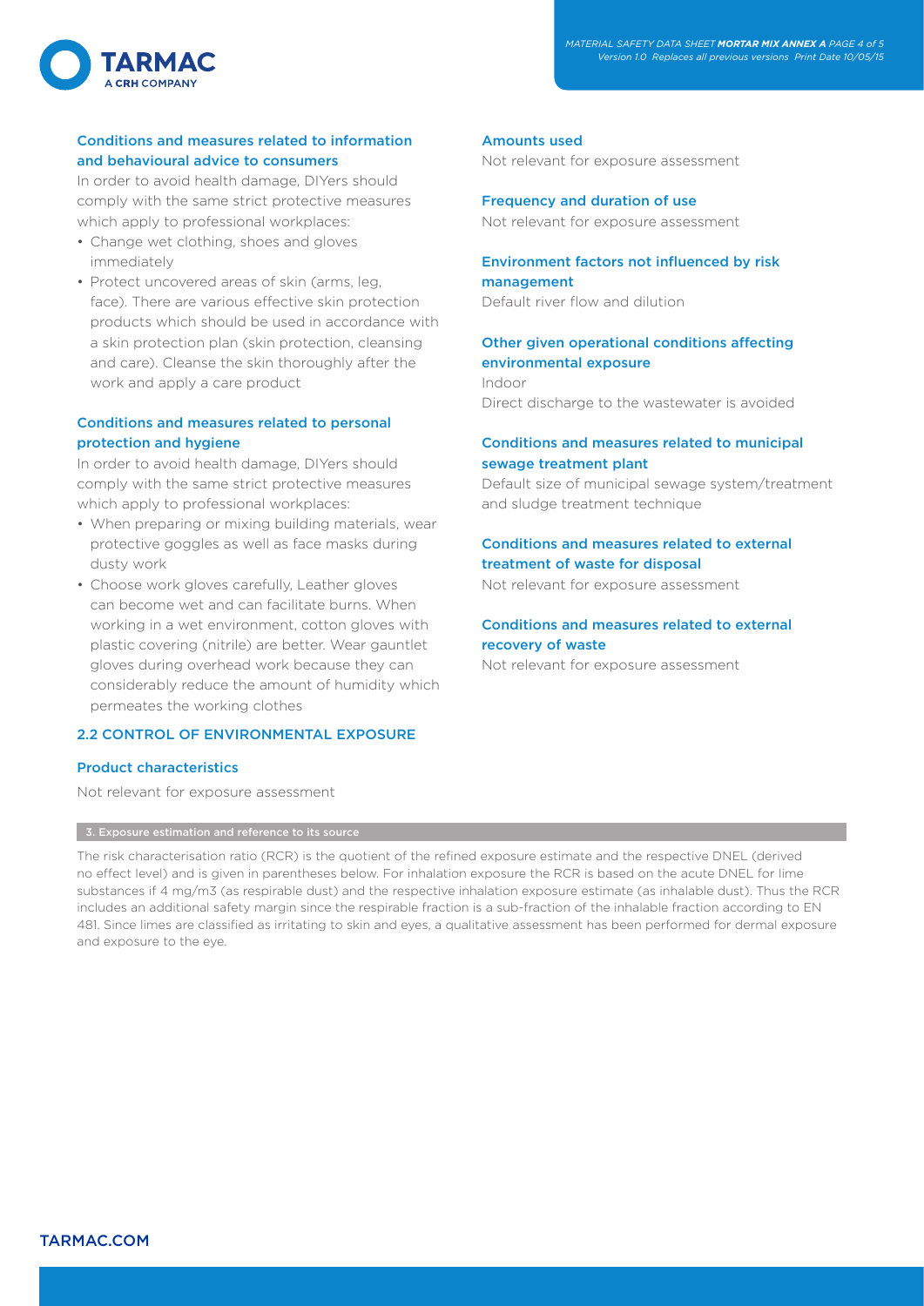

## Conditions and measures related to information and behavioural advice to consumers

In order to avoid health damage, DIYers should comply with the same strict protective measures which apply to professional workplaces:

- Change wet clothing, shoes and gloves immediately
- Protect uncovered areas of skin (arms, leg, face). There are various effective skin protection products which should be used in accordance with a skin protection plan (skin protection, cleansing and care). Cleanse the skin thoroughly after the work and apply a care product

## Conditions and measures related to personal protection and hygiene

In order to avoid health damage, DIYers should comply with the same strict protective measures which apply to professional workplaces:

- When preparing or mixing building materials, wear protective goggles as well as face masks during dusty work
- Choose work gloves carefully, Leather gloves can become wet and can facilitate burns. When working in a wet environment, cotton gloves with plastic covering (nitrile) are better. Wear gauntlet gloves during overhead work because they can considerably reduce the amount of humidity which permeates the working clothes

## 2.2 CONTROL OF ENVIRONMENTAL EXPOSURE

#### Product characteristics

Not relevant for exposure assessment

#### 3. Exposure estimation and reference to its source

#### Amounts used

Not relevant for exposure assessment

Frequency and duration of use Not relevant for exposure assessment

## Environment factors not influenced by risk management

Default river flow and dilution

## Other given operational conditions affecting environmental exposure

Indoor Direct discharge to the wastewater is avoided

## Conditions and measures related to municipal sewage treatment plant

Default size of municipal sewage system/treatment and sludge treatment technique

## Conditions and measures related to external treatment of waste for disposal

Not relevant for exposure assessment

# Conditions and measures related to external recovery of waste

Not relevant for exposure assessment

The risk characterisation ratio (RCR) is the quotient of the refined exposure estimate and the respective DNEL (derived no effect level) and is given in parentheses below. For inhalation exposure the RCR is based on the acute DNEL for lime substances if 4 mg/m3 (as respirable dust) and the respective inhalation exposure estimate (as inhalable dust). Thus the RCR includes an additional safety margin since the respirable fraction is a sub-fraction of the inhalable fraction according to EN 481. Since limes are classified as irritating to skin and eyes, a qualitative assessment has been performed for dermal exposure and exposure to the eye.